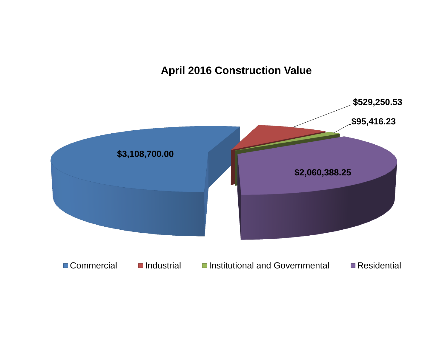### **April 2016 Construction Value**

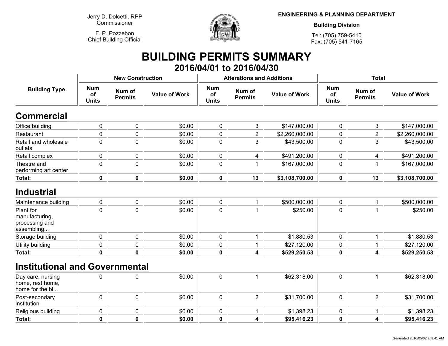**Jerry D. Dolcetti, RPPCommissioner**

**F. P. PozzebonChief Building Official**



**ENGINEERING & PLANNING DEPARTMENT**

**Building Division**

**Tel: (705) 759-5410Fax: (705) 541-7165**

## **BUILDING PERMITS SUMMARY 2016/04/01 to 2016/04/30**

| <b>Building Type</b>                                        |                                  | <b>New Construction</b>  |                      |                                  | <b>Alterations and Additions</b> |                      | <b>Total</b>                     |                          |                      |
|-------------------------------------------------------------|----------------------------------|--------------------------|----------------------|----------------------------------|----------------------------------|----------------------|----------------------------------|--------------------------|----------------------|
|                                                             | <b>Num</b><br>of<br><b>Units</b> | Num of<br><b>Permits</b> | <b>Value of Work</b> | <b>Num</b><br>of<br><b>Units</b> | Num of<br><b>Permits</b>         | <b>Value of Work</b> | <b>Num</b><br>of<br><b>Units</b> | Num of<br><b>Permits</b> | <b>Value of Work</b> |
| <b>Commercial</b>                                           |                                  |                          |                      |                                  |                                  |                      |                                  |                          |                      |
| Office building                                             | 0                                | 0                        | \$0.00               | $\pmb{0}$                        | 3                                | \$147,000.00         | 0                                | 3                        | \$147,000.00         |
| Restaurant                                                  | 0                                | $\overline{0}$           | \$0.00               | 0                                | $\overline{2}$                   | \$2,260,000.00       | $\mathbf 0$                      | $\overline{2}$           | \$2,260,000.00       |
| Retail and wholesale<br>outlets                             | 0                                | $\mathbf 0$              | \$0.00               | $\pmb{0}$                        | 3                                | \$43,500.00          | $\pmb{0}$                        | 3                        | \$43,500.00          |
| Retail complex                                              | 0                                | 0                        | \$0.00               | 0                                | 4                                | \$491,200.00         | 0                                | 4                        | \$491,200.00         |
| Theatre and<br>performing art center                        | 0                                | $\overline{0}$           | \$0.00               | $\mathbf 0$                      |                                  | \$167,000.00         | $\mathbf 0$                      | 1                        | \$167,000.00         |
| Total:                                                      | $\pmb{0}$                        | $\bf{0}$                 | \$0.00               | $\mathbf 0$                      | 13                               | \$3,108,700.00       | $\mathbf 0$                      | 13                       | \$3,108,700.00       |
| <b>Industrial</b>                                           |                                  |                          |                      |                                  |                                  |                      |                                  |                          |                      |
| Maintenance building                                        | 0                                | $\pmb{0}$                | \$0.00               | $\pmb{0}$                        |                                  | \$500,000.00         | 0                                | 1                        | \$500,000.00         |
| Plant for<br>manufacturing,<br>processing and<br>assembling | 0                                | $\mathbf 0$              | \$0.00               | $\mathbf 0$                      |                                  | \$250.00             | 0                                |                          | \$250.00             |
| Storage building                                            | 0                                | $\mathbf 0$              | \$0.00               | $\pmb{0}$                        |                                  | \$1,880.53           | 0                                | 1                        | \$1,880.53           |
| Utility building                                            | 0                                | $\mathbf 0$              | \$0.00               | 0                                |                                  | \$27,120.00          | $\mathbf 0$                      | 1                        | \$27,120.00          |
| Total:                                                      | $\mathbf 0$                      | $\mathbf 0$              | \$0.00               | $\mathbf 0$                      | 4                                | \$529,250.53         | $\mathbf 0$                      | $\overline{\mathbf{4}}$  | \$529,250.53         |
| <b>Institutional and Governmental</b>                       |                                  |                          |                      |                                  |                                  |                      |                                  |                          |                      |
| Day care, nursing<br>home, rest home,<br>home for the bl    | $\mathbf 0$                      | $\mathbf 0$              | \$0.00               | $\mathbf 0$                      | $\overline{1}$                   | \$62,318.00          | $\mathbf 0$                      | 1                        | \$62,318.00          |
| Post-secondary<br>institution                               | $\mathbf 0$                      | $\mathbf 0$              | \$0.00               | $\mathbf 0$                      | $\overline{2}$                   | \$31,700.00          | 0                                | $\overline{2}$           | \$31,700.00          |
| Religious building                                          | 0                                | $\pmb{0}$                | \$0.00               | $\pmb{0}$                        | 1                                | \$1,398.23           | 0                                | 1                        | \$1,398.23           |
| Total:                                                      | $\mathbf 0$                      | $\bf{0}$                 | \$0.00               | $\mathbf 0$                      | 4                                | \$95,416.23          | 0                                | 4                        | \$95,416.23          |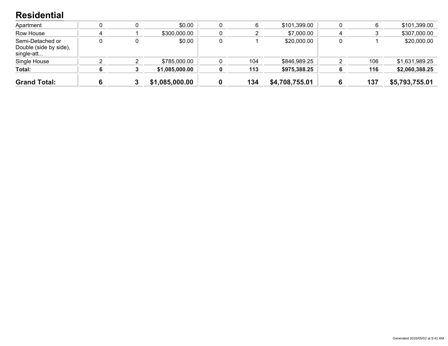#### **Residential**

| <b>Grand Total:</b>                                      |  | \$1,085,000.00 | 134 | \$4,708,755.01 |   | 137 | \$5,793,755.01 |
|----------------------------------------------------------|--|----------------|-----|----------------|---|-----|----------------|
| Total:                                                   |  | \$1,085,000.00 | 113 | \$975,388.25   |   | 116 | \$2,060,388.25 |
| Single House                                             |  | \$785,000.00   | 104 | \$846,989.25   |   | 106 | \$1,631,989.25 |
| Semi-Detached or<br>Double (side by side),<br>single-att |  | \$0.00         |     | \$20,000.00    |   |     | \$20,000.00    |
| Row House                                                |  | \$300,000.00   |     | \$7,000.00     | 4 |     | \$307,000.00   |
| Apartment                                                |  | \$0.00         | 6   | \$101,399.00   |   | 6   | \$101,399.00   |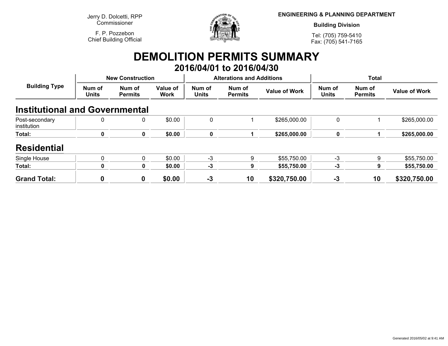**Jerry D. Dolcetti, RPPCommissioner**

**F. P. PozzebonChief Building Official**



**ENGINEERING & PLANNING DEPARTMENT**

**Building Division**

**Tel: (705) 759-5410Fax: (705) 541-7165**

### **DEMOLITION PERMITS SUMMARY 2016/04/01 to 2016/04/30**

| <b>Building Type</b>                  | <b>New Construction</b> |                          |                         |                        | <b>Alterations and Additions</b> |                      | <b>Total</b>           |                          |                      |
|---------------------------------------|-------------------------|--------------------------|-------------------------|------------------------|----------------------------------|----------------------|------------------------|--------------------------|----------------------|
|                                       | Num of<br><b>Units</b>  | Num of<br><b>Permits</b> | Value of<br><b>Work</b> | Num of<br><b>Units</b> | Num of<br><b>Permits</b>         | <b>Value of Work</b> | Num of<br><b>Units</b> | Num of<br><b>Permits</b> | <b>Value of Work</b> |
| <b>Institutional and Governmental</b> |                         |                          |                         |                        |                                  |                      |                        |                          |                      |
| Post-secondary<br>institution         | 0                       | 0                        | \$0.00                  | $\mathbf{0}$           |                                  | \$265,000.00         | $\mathbf 0$            |                          | \$265,000.00         |
| Total:                                | 0                       | 0                        | \$0.00                  | 0                      |                                  | \$265,000.00         | 0                      |                          | \$265,000.00         |
| <b>Residential</b>                    |                         |                          |                         |                        |                                  |                      |                        |                          |                      |
| Single House                          | $\Omega$                | $\Omega$                 | \$0.00                  | $-3$                   | 9                                | \$55,750.00          | -3                     | 9                        | \$55,750.00          |
| Total:                                | 0                       | 0                        | \$0.00                  | -3                     | 9                                | \$55,750.00          | -3                     | 9                        | \$55,750.00          |
| <b>Grand Total:</b>                   | 0                       | $\boldsymbol{0}$         | \$0.00                  | $-3$                   | 10                               | \$320,750.00         | $-3$                   | 10                       | \$320,750.00         |